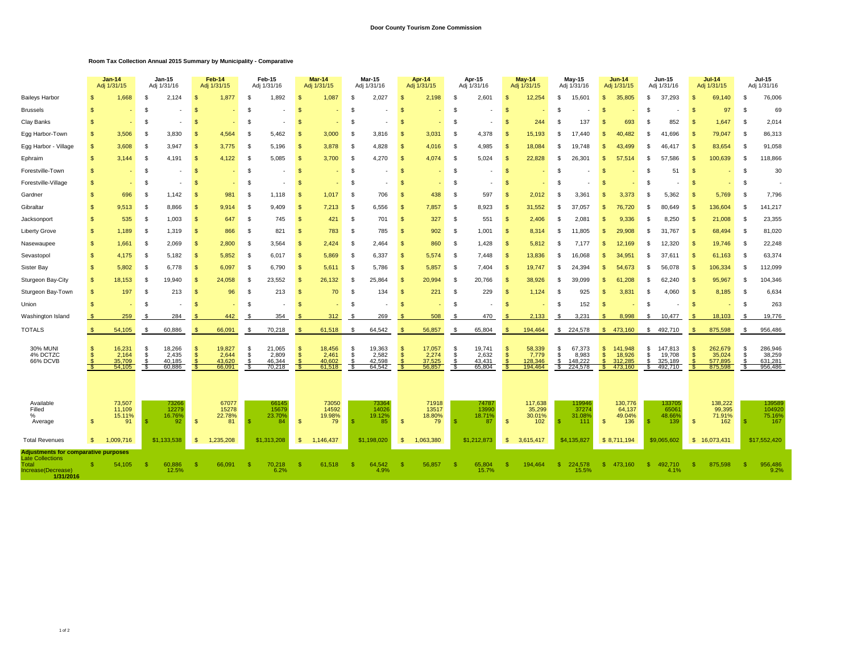## **Door County Tourism Zone Commission**

## **Room Tax Collection Annual 2015 Summary by Municipality - Comparative**

|                                                                                                                    |              | <b>Jan-14</b><br>Adj 1/31/15        | Jan-15<br>Adj 1/31/16 |                                     | Feb-14<br>Adj 1/31/15 |                                     | Feb-15<br>Adj 1/31/16 |                                     | <b>Mar-14</b><br>Adj 1/31/15 |                                     | <b>Mar-15</b><br>Adj 1/31/16 |                                     | Apr 14<br>Adj 1/31/15 |                                     | Apr-15<br>Adj 1/31/16 |                                     |                    | $May -14$<br>Adj 1/31/15              | May-15<br>Adj 1/31/16 |                                       |                    | <b>Jun-14</b><br>Adj 1/31/15            |          | <b>Jun-15</b><br>Adj 1/31/16            |                      | <b>Jul-14</b><br>Adj 1/31/15            | Jul-15<br>Adj 1/31/16 |                                         |
|--------------------------------------------------------------------------------------------------------------------|--------------|-------------------------------------|-----------------------|-------------------------------------|-----------------------|-------------------------------------|-----------------------|-------------------------------------|------------------------------|-------------------------------------|------------------------------|-------------------------------------|-----------------------|-------------------------------------|-----------------------|-------------------------------------|--------------------|---------------------------------------|-----------------------|---------------------------------------|--------------------|-----------------------------------------|----------|-----------------------------------------|----------------------|-----------------------------------------|-----------------------|-----------------------------------------|
| <b>Baileys Harbor</b>                                                                                              |              | 1.668                               |                       | 2,124                               | к                     | 1,877                               | £.                    | 1,892                               |                              | 1,087                               |                              | 2,027                               |                       | 2,198                               |                       | 2,601                               | \$.                | 12,254                                | \$.                   | 15,601                                | $\mathfrak{L}$     | 35,805                                  | \$.      | 37.293                                  | S.                   | 69.140                                  | £.                    | 76,006                                  |
| <b>Brussels</b>                                                                                                    | -S           |                                     | -S                    |                                     | ç.                    |                                     | \$                    |                                     |                              |                                     |                              |                                     | S                     |                                     | -\$                   |                                     | -\$                |                                       | £.                    |                                       | \$.                |                                         | £.       |                                         | S.                   | 97                                      | S                     | 69                                      |
| Clay Banks                                                                                                         | $\mathbf{s}$ |                                     | -S                    |                                     | S                     |                                     | \$                    |                                     |                              |                                     | -S                           |                                     | S                     |                                     | -\$                   |                                     | -\$                | 244                                   | £.                    | 137                                   | S                  | 693                                     | £.       | 852                                     | -9                   | 1.647                                   | S                     | 2,014                                   |
| Egg Harbor-Town                                                                                                    | S.           | 3,506                               | -S                    | 3,830                               | S                     | 4,564                               | \$                    | 5,462                               | $\mathfrak{F}$               | 3,000                               | -S                           | 3,816                               | -S                    | 3,031                               | -\$                   | 4,378                               | - \$               | 15,193                                | £.                    | 17.440                                | \$.                | 40.482                                  | -S       | .696<br>41                              | $\mathfrak{L}$       | 79,047                                  | S                     | 86,313                                  |
| Egg Harbor - Village                                                                                               | $\mathbf{s}$ | 3,608                               | - \$                  | 3.947                               | S                     | 3.775                               | \$                    | 5,196                               | $\mathfrak{L}$               | 3,878                               | -S                           | 4,828                               | <b>S</b>              | 4,016                               | - \$                  | 4,985                               | -\$                | 18,084                                |                       | 19.748                                | \$                 | 43.499                                  | £.       | 46.417                                  | S.                   | 83,654                                  | S                     | 91,058                                  |
| Ephraim                                                                                                            | $\mathbf{s}$ | 3.144                               | - \$                  | 4.191                               | \$                    | 4,122                               | \$                    | 5,085                               | $\mathcal{S}$                | 3,700                               | -S                           | 4.270                               | -S                    | 4,074                               | - \$                  | 5,024                               | -\$                | 22,828                                | £.                    | 26.301                                | $\mathfrak{L}$     | 57.514                                  | \$.      | 57<br>.586                              | S.                   | 100,639                                 | -S                    | 118,866                                 |
| Forestville-Town                                                                                                   | <b>S</b>     |                                     | -S                    |                                     | S                     | ٠                                   | \$                    |                                     | <b>S</b>                     |                                     | -S                           |                                     | <b>S</b>              |                                     | - \$                  |                                     | <b>S</b>           |                                       | -S                    |                                       | <sup>\$</sup>      |                                         | -S       | 51                                      | \$                   |                                         | S                     | 30                                      |
| Forestville-Village                                                                                                | <b>S</b>     |                                     | -S                    |                                     | S                     |                                     | \$                    |                                     | $\mathfrak{L}$               |                                     | -S                           |                                     | S                     |                                     | - \$                  |                                     | -\$                |                                       | $\mathfrak{F}$        |                                       | \$.                |                                         | \$.      |                                         | \$                   |                                         | S                     |                                         |
| Gardner                                                                                                            | S.           | 696                                 | -S                    | 1,142                               | S                     | 981                                 | \$                    | 1,118                               | $\mathcal{S}$                | 1,017                               | - \$                         | 706                                 | <b>S</b>              | 438                                 | - \$                  | 597                                 | $\mathfrak{s}$     | 2,012                                 | £.                    | 3,361                                 | \$.                | 3,373                                   | \$.      | 5,362                                   | S.                   | 5,769                                   | S                     | 7,796                                   |
| Gibraltar                                                                                                          | $\mathbf{s}$ | 9,513                               | - \$                  | 8.866                               | S                     | 9.914                               | \$                    | 9.409                               | $\mathcal{S}$                | 7,213                               | -S                           | 6,556                               | <b>S</b>              | 7,857                               | - \$                  | 8,923                               | -S                 | 31,552                                | \$                    | 37.057                                | \$.                | 76,720                                  | \$.      | 80.649                                  | £.                   | 136,604                                 | S                     | 141,217                                 |
| Jacksonport                                                                                                        | <b>S</b>     | 535                                 | -S                    | 1,003                               | <b>S</b>              | 647                                 | \$                    | 745                                 | - \$                         | 421                                 | -S                           | 701                                 | <b>S</b>              | 327                                 | - \$                  | 551                                 | -\$                | 2,406                                 | - \$                  | 2.081                                 | \$                 | 9.336                                   | -S       | 8.250                                   | - \$                 | 21,008                                  | S                     | 23,355                                  |
| Liberty Grove                                                                                                      | <b>S</b>     | 1,189                               | - \$                  | 1,319                               | <b>S</b>              | 866                                 | - \$                  | 821                                 | - \$                         | 783                                 | - \$                         | 785                                 | <b>S</b>              | 902                                 | - \$                  | 1,001                               | - \$               | 8,314                                 | \$                    | 11,805                                | \$                 | 29,908                                  | -S       | 31,767                                  | -\$                  | 68,494                                  | -S                    | 81,020                                  |
| Nasewaupee                                                                                                         | \$           | 1,661                               | -S                    | 2,069                               | S                     | 2,800                               | - \$                  | 3,564                               | - \$                         | 2,424                               | - \$                         | 2,464                               | -S                    | 860                                 | - \$                  | 1,428                               | - \$               | 5,812                                 | £.                    | 7,177                                 | \$                 | 12,169                                  | -S       | 12,320                                  | S.                   | 19,746                                  | -S                    | 22,248                                  |
| Sevastopol                                                                                                         | \$           | 4,175                               | -S                    | 5,182                               | S                     | 5,852                               | - \$                  | 6,017                               | $\mathcal{S}$                | 5,869                               | - \$                         | 6,337                               | <b>S</b>              | 5,574                               | -\$                   | 7,448                               | -\$                | 13,836                                | \$                    | 16,068                                | \$                 | 34,951                                  | S.       | 37,611                                  | -S                   | 61,163                                  | -S                    | 63,374                                  |
| Sister Bay                                                                                                         | \$           | 5,802                               | -S                    | 6,778                               | S                     | 6,097                               | \$                    | 6,790                               | $\mathcal{S}$                | 5,611                               | -S                           | 5,786                               | -S                    | 5,857                               | -\$                   | 7,404                               | - \$               | 19,747                                | £.                    | 24,394                                | \$                 | 54,673                                  | -S       | 56.078                                  | -\$                  | 106,334                                 | -S                    | 112,099                                 |
| Sturgeon Bay-City                                                                                                  | S.           | 18,153                              | -S                    | 19.940                              | -S                    | 24,058                              | - \$                  | 23,552                              | - \$                         | 26,132                              | -S                           | 25.864                              | -S                    | 20,994                              | - \$                  | 20,766                              | - \$               | 38,926                                | - \$                  | 39.099                                | \$                 | 61.208                                  | -S       | 62.240                                  | -9                   | 95,967                                  | S                     | 104,346                                 |
| Sturgeon Bay-Town                                                                                                  | S.           | 197                                 | -S                    | 213                                 | S                     | 96                                  | \$                    | 213                                 | <b>S</b>                     | 70                                  | -S                           | 134                                 | -S                    | 221                                 | - \$                  | 229                                 | - \$               | 1,124                                 | S                     | 925                                   | \$                 | 3,831                                   | -S       | 4,060                                   | S.                   | 8,185                                   | S                     | 6,634                                   |
| Union                                                                                                              | -8           |                                     | -S                    |                                     | S                     |                                     | £.                    |                                     |                              |                                     | -S                           |                                     | £.                    |                                     | - \$                  |                                     | \$.                |                                       | - \$                  | 152                                   | $\mathfrak{L}$     |                                         | -S       |                                         | -\$                  |                                         | S                     | 263                                     |
| Washington Island                                                                                                  |              | 259                                 | -S                    | 284                                 | -S                    | 442                                 | -S                    | 354                                 |                              | 312                                 | - 5                          | 269                                 | -S                    | 508                                 | - \$                  | 470                                 | S.                 | 2,133                                 | -S                    | 3,231                                 | -\$                | 8,998                                   | S.       | 10,477                                  | - 35                 | 18,103                                  | - \$                  | 19,776                                  |
| <b>TOTALS</b>                                                                                                      |              | 54,105                              |                       | 60,886                              | -S                    | 66,091                              |                       | 70,218                              |                              | 61,518                              |                              | 64,542                              |                       | 56,857                              |                       | 65,804                              |                    | 194,464                               | s.                    | 224,578                               | \$.                | 473,160                                 | s.       | 492.710                                 |                      | 875,598                                 | -S                    | 956,486                                 |
| <b>30% MUNI</b><br>4% DCTZC<br>66% DCVB                                                                            | -S           | 16,231<br>2,164<br>35,709<br>54,105 | -S<br>\$              | 18,266<br>2,435<br>40.185<br>60,886 | -S<br>S               | 19,827<br>2,644<br>43,620<br>66,091 | \$<br>\$              | 21,065<br>2,809<br>46,344<br>70,218 | -S<br>$\mathfrak{L}$         | 18,456<br>2,461<br>40,602<br>61,518 | -S<br>-S                     | 19,363<br>2,582<br>42,598<br>64,542 | S<br>-S               | 17,057<br>2,274<br>37,525<br>56,857 | - \$<br>-\$           | 19,741<br>2,632<br>43,431<br>65,804 | S<br><sup>\$</sup> | 58,339<br>7,779<br>128,346<br>194,464 | \$<br>Ŝ.              | 67,373<br>8,983<br>148,222<br>224,578 | \$<br>$\mathbf{s}$ | 141,948<br>18,926<br>312,285<br>473,160 | \$<br>\$ | 147,813<br>19,708<br>325,189<br>492,710 | S.<br>$\mathfrak{L}$ | 262,679<br>35,024<br>577.895<br>875,598 | \$<br>\$              | 286,946<br>38,259<br>631,281<br>956,486 |
| Available<br>Filled<br>$\%$<br>Average                                                                             | $\mathbf{s}$ | 73,507<br>11,109<br>15.11%<br>91    |                       | 73266<br>12279<br>16.76%<br>92      | <sub>\$</sub>         | 67077<br>15278<br>22.78%<br>81      |                       | 66145<br>15679<br>23.70%<br>84      | $\mathbf{s}$                 | 73050<br>14592<br>19.98%<br>79      |                              | 73364<br>14026<br>19.12%<br>85      | $\mathbf{s}$          | 71918<br>13517<br>18.80%<br>79      | - 95                  | 7478<br>13990<br>18.71%<br>87       | $\mathbf{s}$       | 117,638<br>35,299<br>30.01%<br>102    | -9                    | 119946<br>37274<br>31.08%<br>111      | \$                 | 130,776<br>64,137<br>49.04%<br>136      |          | 133705<br>6506<br>48.66%<br>139         | $\mathbf{s}$         | 138,222<br>99,395<br>71.91%<br>162      | -S                    | 139589<br>104920<br>75.16%<br>167       |
| <b>Total Revenues</b>                                                                                              | s.           | 1,009,716                           |                       | \$1.133,538                         | <b>S</b>              | 1,235,208                           |                       | \$1,313,208                         | $\mathfrak{s}$               | 1,146,437                           |                              | \$1,198,020                         | -\$                   | 1,063,380                           |                       | \$1,212,873                         | <sup>\$</sup>      | 3,615,417                             |                       | \$4,135,827                           |                    | \$8,711,194                             |          | \$9,065,602                             |                      | \$ 16,073,431                           |                       | \$17,552,420                            |
| <b>Adjustments for comparative purposes</b><br><b>Late Collections</b><br>Total<br>Increase(Decrease)<br>1/31/2016 |              | 54,105                              |                       | 60,886<br>12.5%                     |                       | 66,091                              | -9                    | 70,218<br>6.2%                      |                              | 61,518                              |                              | 64,542<br>4.9%                      | S                     | 56,857                              |                       | 65,804<br>15.7%                     | ß.                 | 194,464                               | S.                    | 224,578<br>15.5%                      | \$                 | 473,160                                 | -S.      | 492,710<br>4.1%                         | \$.                  | 875,598                                 | -S                    | 956,486<br>9.2%                         |